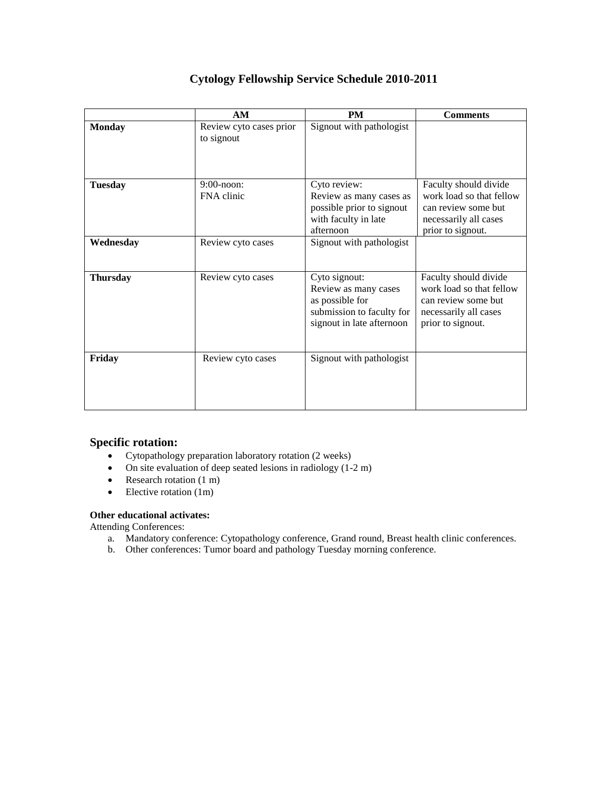|                 | AM                                    | <b>PM</b>                                                                                                          | <b>Comments</b>                                                                                                        |
|-----------------|---------------------------------------|--------------------------------------------------------------------------------------------------------------------|------------------------------------------------------------------------------------------------------------------------|
| <b>Monday</b>   | Review cyto cases prior<br>to signout | Signout with pathologist                                                                                           |                                                                                                                        |
| <b>Tuesday</b>  | $9:00$ -noon:<br>FNA clinic           | Cyto review:<br>Review as many cases as<br>possible prior to signout<br>with faculty in late<br>afternoon          | Faculty should divide<br>work load so that fellow<br>can review some but<br>necessarily all cases<br>prior to signout. |
| Wednesday       | Review cyto cases                     | Signout with pathologist                                                                                           |                                                                                                                        |
| <b>Thursday</b> | Review cyto cases                     | Cyto signout:<br>Review as many cases<br>as possible for<br>submission to faculty for<br>signout in late afternoon | Faculty should divide<br>work load so that fellow<br>can review some but<br>necessarily all cases<br>prior to signout. |
| Friday          | Review cyto cases                     | Signout with pathologist                                                                                           |                                                                                                                        |

# **Cytology Fellowship Service Schedule 2010-2011**

### **Specific rotation:**

- Cytopathology preparation laboratory rotation (2 weeks)
- On site evaluation of deep seated lesions in radiology (1-2 m)
- Research rotation  $(1 \text{ m})$
- $\bullet$  Elective rotation (1m)

#### **Other educational activates:**

Attending Conferences:

- a. Mandatory conference: Cytopathology conference, Grand round, Breast health clinic conferences.
- b. Other conferences: Tumor board and pathology Tuesday morning conference.